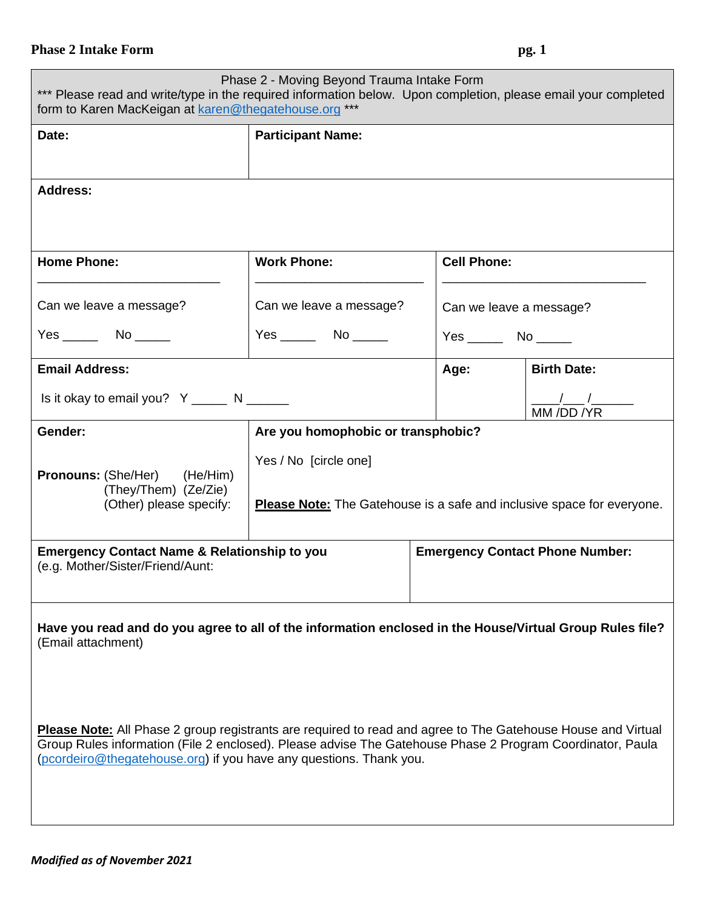## **Phase 2 Intake Form pg. 1**

| Phase 2 - Moving Beyond Trauma Intake Form<br>*** Please read and write/type in the required information below. Upon completion, please email your completed<br>form to Karen MacKeigan at karen@thegatehouse.org ***                                                                                  |                                                                                                        |                                        |                         |                    |  |
|--------------------------------------------------------------------------------------------------------------------------------------------------------------------------------------------------------------------------------------------------------------------------------------------------------|--------------------------------------------------------------------------------------------------------|----------------------------------------|-------------------------|--------------------|--|
| Date:                                                                                                                                                                                                                                                                                                  | <b>Participant Name:</b>                                                                               |                                        |                         |                    |  |
| <b>Address:</b>                                                                                                                                                                                                                                                                                        |                                                                                                        |                                        |                         |                    |  |
| <b>Home Phone:</b>                                                                                                                                                                                                                                                                                     | <b>Work Phone:</b>                                                                                     |                                        | <b>Cell Phone:</b>      |                    |  |
| Can we leave a message?                                                                                                                                                                                                                                                                                | Can we leave a message?                                                                                |                                        | Can we leave a message? |                    |  |
| Yes No                                                                                                                                                                                                                                                                                                 | $Yes \_\_\_\_$ No $\_\_\_\_$<br>$Yes$ No $\_\_\_\_\$                                                   |                                        |                         |                    |  |
| <b>Email Address:</b>                                                                                                                                                                                                                                                                                  |                                                                                                        |                                        | Age:                    | <b>Birth Date:</b> |  |
| Is it okay to email you? $Y$ _______ N _______                                                                                                                                                                                                                                                         |                                                                                                        |                                        |                         | MM/DD/YR           |  |
| Gender:                                                                                                                                                                                                                                                                                                | Are you homophobic or transphobic?                                                                     |                                        |                         |                    |  |
| <b>Pronouns:</b> (She/Her) (He/Him)<br>(They/Them) (Ze/Zie)<br>(Other) please specify:                                                                                                                                                                                                                 | Yes / No [circle one]<br><b>Please Note:</b> The Gatehouse is a safe and inclusive space for everyone. |                                        |                         |                    |  |
| <b>Emergency Contact Name &amp; Relationship to you</b><br>(e.g. Mother/Sister/Friend/Aunt:                                                                                                                                                                                                            |                                                                                                        | <b>Emergency Contact Phone Number:</b> |                         |                    |  |
| Have you read and do you agree to all of the information enclosed in the House/Virtual Group Rules file?<br>(Email attachment)                                                                                                                                                                         |                                                                                                        |                                        |                         |                    |  |
| <b>Please Note:</b> All Phase 2 group registrants are required to read and agree to The Gatehouse House and Virtual<br>Group Rules information (File 2 enclosed). Please advise The Gatehouse Phase 2 Program Coordinator, Paula<br>(pcordeiro@thegatehouse.org) if you have any questions. Thank you. |                                                                                                        |                                        |                         |                    |  |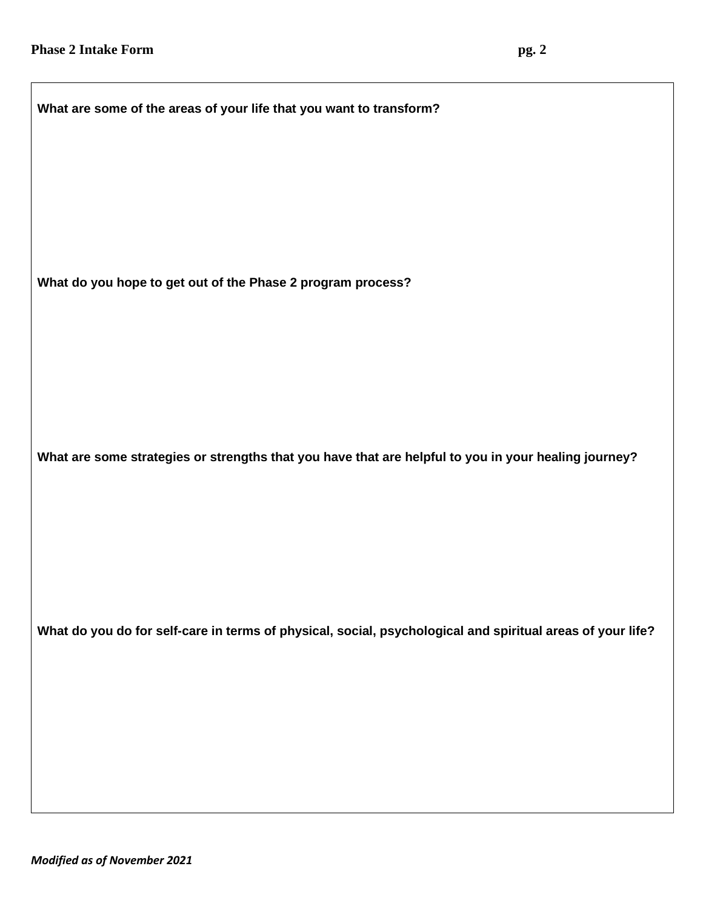| What are some of the areas of your life that you want to transform?                                        |  |  |  |  |
|------------------------------------------------------------------------------------------------------------|--|--|--|--|
|                                                                                                            |  |  |  |  |
|                                                                                                            |  |  |  |  |
|                                                                                                            |  |  |  |  |
| What do you hope to get out of the Phase 2 program process?                                                |  |  |  |  |
|                                                                                                            |  |  |  |  |
|                                                                                                            |  |  |  |  |
| What are some strategies or strengths that you have that are helpful to you in your healing journey?       |  |  |  |  |
|                                                                                                            |  |  |  |  |
|                                                                                                            |  |  |  |  |
|                                                                                                            |  |  |  |  |
| What do you do for self-care in terms of physical, social, psychological and spiritual areas of your life? |  |  |  |  |
|                                                                                                            |  |  |  |  |
|                                                                                                            |  |  |  |  |
|                                                                                                            |  |  |  |  |